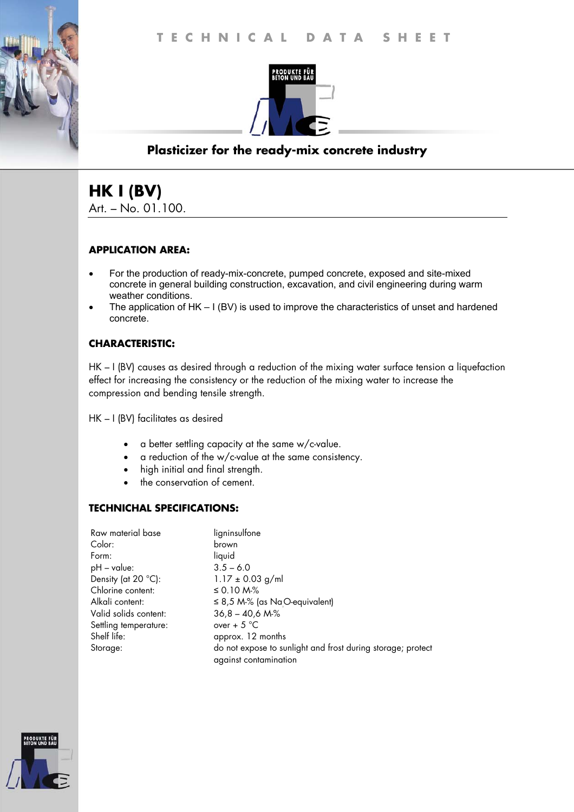

# **Plasticizer for the ready-mix concrete industry**

# **HK I (BV)**

Art. – No. 01.100.

### **APPLICATION AREA:**

- For the production of ready-mix-concrete, pumped concrete, exposed and site-mixed concrete in general building construction, excavation, and civil engineering during warm weather conditions.
- The application of HK I (BV) is used to improve the characteristics of unset and hardened concrete.

## **CHARACTERISTIC:**

HK – I (BV) causes as desired through a reduction of the mixing water surface tension a liquefaction effect for increasing the consistency or the reduction of the mixing water to increase the compression and bending tensile strength.

HK – I (BV) facilitates as desired

- a better settling capacity at the same w/c-value.
- a reduction of the w/c-value at the same consistency.
- high initial and final strength.
- the conservation of cement.

### **TECHNICHAL SPECIFICATIONS:**

| Raw material base     | ligninsulfone                                                                        |
|-----------------------|--------------------------------------------------------------------------------------|
| Color:                | brown                                                                                |
| Form:                 | liquid                                                                               |
| $pH - value$ :        | $3.5 - 6.0$                                                                          |
| Density (at 20 °C):   | $1.17 \pm 0.03$ g/ml                                                                 |
| Chlorine content:     | ≤ 0.10 M-%                                                                           |
| Alkali content:       | $\leq$ 8,5 M-% (as Na <sub>.</sub> O-equivalent)                                     |
| Valid solids content: | $36,8 - 40,6 M\%$                                                                    |
| Settling temperature: | over + $5^{\circ}$ C                                                                 |
| Shelf life:           | approx. 12 months                                                                    |
| Storage:              | do not expose to sunlight and frost during storage; protect<br>against contamination |